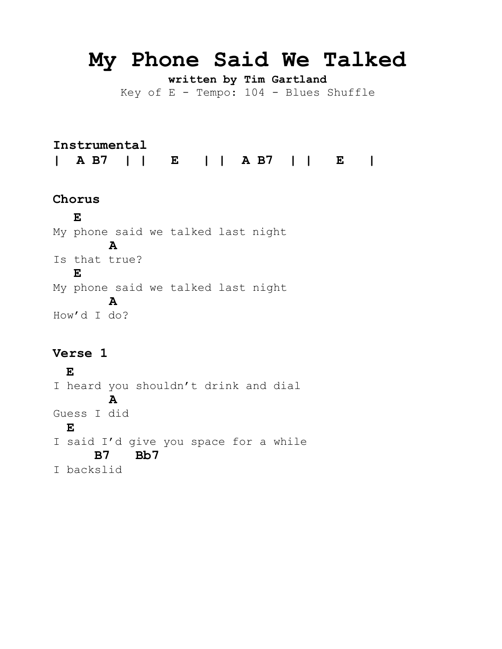# **My Phone Said We Talked**

**written by Tim Gartland** Key of  $E$  - Tempo:  $104$  - Blues Shuffle

**Instrumental | A B7 | | E | | A B7 | | E |**

#### **Chorus**

 **E** My phone said we talked last night  **A** Is that true?  **E** My phone said we talked last night  **A** How'd I do?

#### **Verse 1**

**E** I heard you shouldn't drink and dial  **A** Guess I did  **E** I said I'd give you space for a while  **B7 Bb7** I backslid